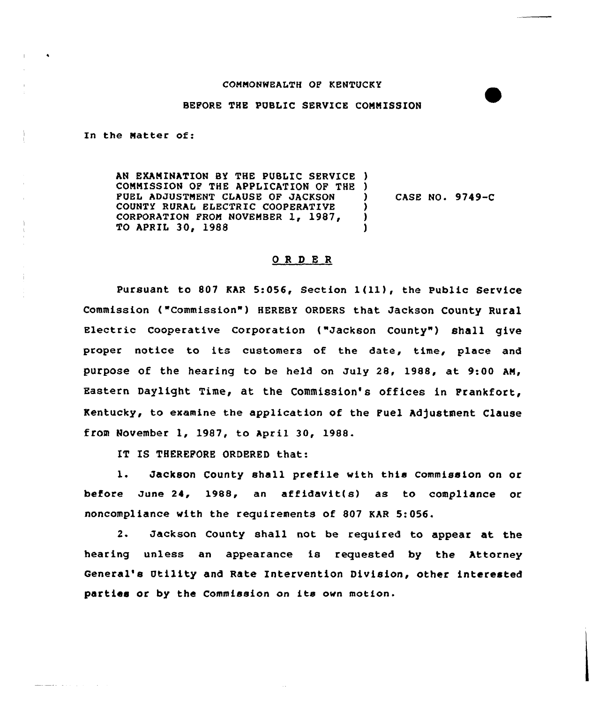## COMMONWEALTH OP KENTUCKY

## BEPORE THE PUBLIC SERVICE COMMISSION

In the Matter of:

and the company of the company of the company

AN EXANINATION BY THE PUBLIC SERVICE ) COMMISSION OP THE APPLICATION OF THE ) PUEL ADJUSTMENT CLAUSE OP JACKSON COUNTY RURAL ELECTRIC COOPERATIVE CORPORATION FROM NOVEMBER 1, 1987, TO APRIL 30, 1988 ) CASE NO. 9749-C ) ) )

## OR <sup>D</sup> E R

Pursuant to <sup>807</sup> KAR 5:056, Section 1(ll), the Public Service Commission ("Commission") HEREBY ORDERS that Jackson County Rural Electric Cooperative Corporation ("Jackson County") shall give proper notice to its customers of the date, time, place and PurPose of the hearing to be held on July 28, 1988, at 9:00 AM, Eastern Daylight Time, at the Commission's offices in Prankfort, Kentucky, to examine the application of the Fuel Adjustment Clause from November 1, 1987, to april 30, 1988.

IT IS THEREFORE ORDERED that:

1. Jackson County shall prefile with this Commission on or before June 24, 1988, an affidavit(s) as to compliance or noncompliance with the requirements of 807 KAR 5:056.

2. Jackson County shall not be required to appear at the hearing unless an appearance is requested by the Attorney General's Utility and Rate Intervention Division, other interested parties or by the Commission on its own motion.